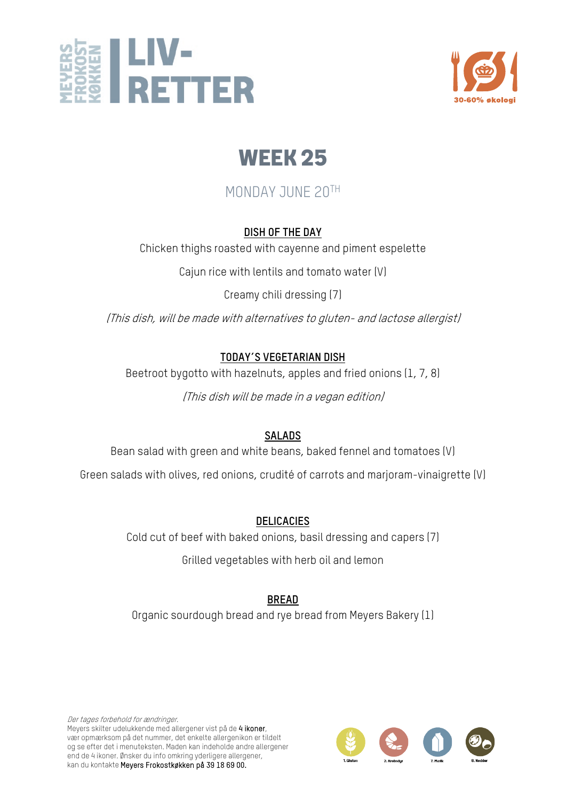



# MONDAY JUNE 20TH

#### **DISH OF THE DAY**

Chicken thighs roasted with cayenne and piment espelette

Cajun rice with lentils and tomato water (V)

Creamy chili dressing (7)

(This dish, will be made with alternatives to gluten- and lactose allergist)

#### **TODAY´S VEGETARIAN DISH**

Beetroot bygotto with hazelnuts, apples and fried onions (1, 7, 8)

(This dish will be made in a vegan edition)

## **SALADS**

Bean salad with green and white beans, baked fennel and tomatoes (V)

Green salads with olives, red onions, crudité of carrots and marjoram-vinaigrette (V)

## **DELICACIES**

Cold cut of beef with baked onions, basil dressing and capers (7)

Grilled vegetables with herb oil and lemon

## **BREAD**

Organic sourdough bread and rye bread from Meyers Bakery (1)

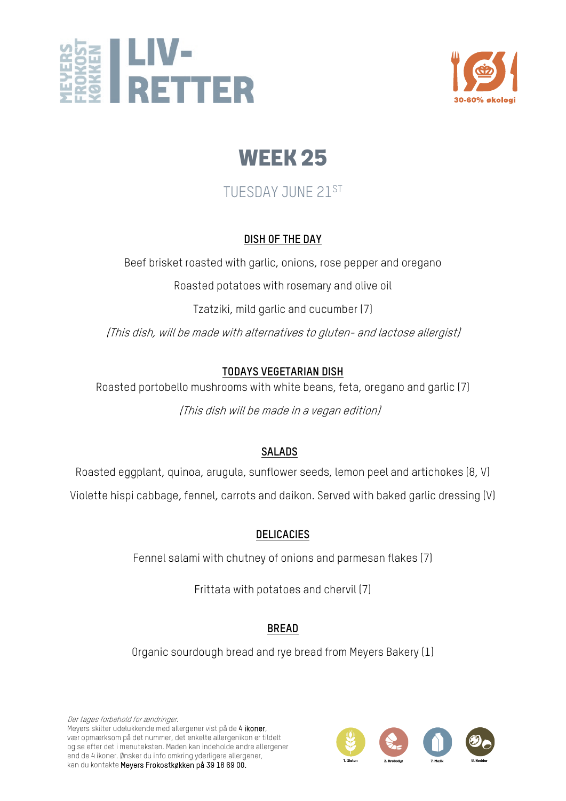



# TUESDAY JUNE 21ST

#### **DISH OF THE DAY**

Beef brisket roasted with garlic, onions, rose pepper and oregano

Roasted potatoes with rosemary and olive oil

Tzatziki, mild garlic and cucumber (7)

(This dish, will be made with alternatives to gluten- and lactose allergist)

## **TODAYS VEGETARIAN DISH**

Roasted portobello mushrooms with white beans, feta, oregano and garlic (7) (This dish will be made in a vegan edition)

## **SALADS**

Roasted eggplant, quinoa, arugula, sunflower seeds, lemon peel and artichokes (8, V)

Violette hispi cabbage, fennel, carrots and daikon. Served with baked garlic dressing (V)

## **DELICACIES**

Fennel salami with chutney of onions and parmesan flakes (7)

Frittata with potatoes and chervil (7)

## **BREAD**

Organic sourdough bread and rye bread from Meyers Bakery (1)

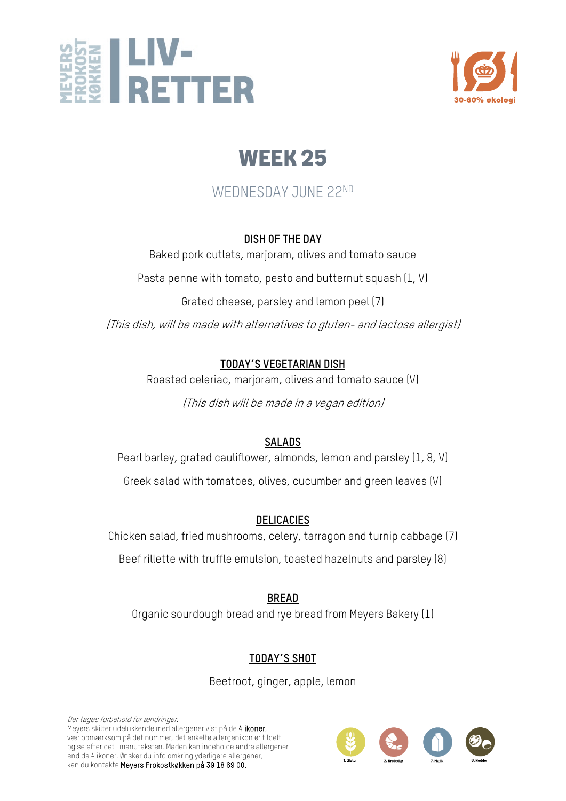



# WEDNESDAY JUNE 22ND

#### **DISH OF THE DAY**

Baked pork cutlets, marjoram, olives and tomato sauce

Pasta penne with tomato, pesto and butternut squash (1, V)

Grated cheese, parsley and lemon peel (7)

(This dish, will be made with alternatives to gluten- and lactose allergist)

#### **TODAY´S VEGETARIAN DISH**

Roasted celeriac, marjoram, olives and tomato sauce (V)

(This dish will be made in a vegan edition)

#### **SALADS**

Pearl barley, grated cauliflower, almonds, lemon and parsley (1, 8, V) Greek salad with tomatoes, olives, cucumber and green leaves (V)

## **DELICACIES**

Chicken salad, fried mushrooms, celery, tarragon and turnip cabbage (7)

Beef rillette with truffle emulsion, toasted hazelnuts and parsley (8)

**BREAD** Organic sourdough bread and rye bread from Meyers Bakery (1)

# **TODAY´S SHOT**

Beetroot, ginger, apple, lemon

Der tages forbehold for ændringer. Meyers skilter udelukkende med allergener vist på de 4 ikoner, vær opmærksom på det nummer, det enkelte allergenikon er tildelt og se efter det i menuteksten. Maden kan indeholde andre allergener end de 4 ikoner. Ønsker du info omkring yderligere allergener, kan du kontakte Meyers Frokostkøkken på 39 18 69 00.

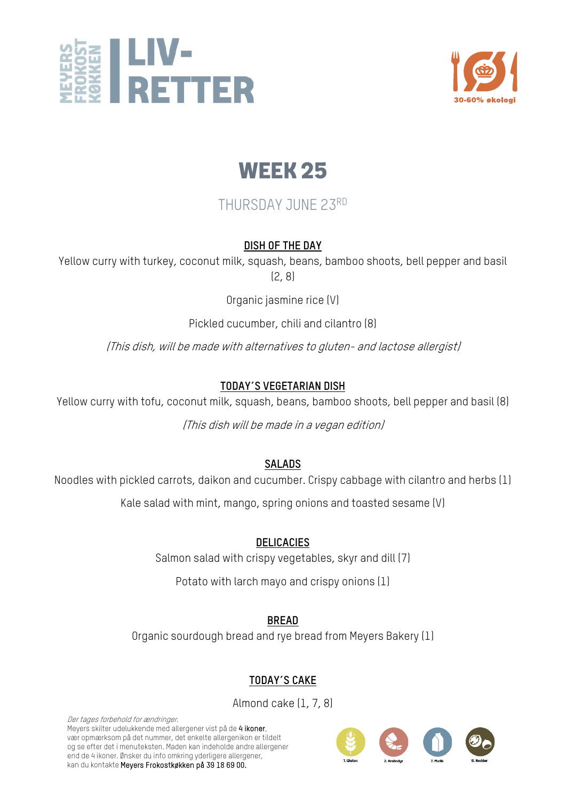



# THURSDAY JUNE 23RD

#### **DISH OF THE DAY**

Yellow curry with turkey, coconut milk, squash, beans, bamboo shoots, bell pepper and basil (2, 8)

Organic jasmine rice (V)

Pickled cucumber, chili and cilantro (8)

(This dish, will be made with alternatives to gluten- and lactose allergist)

## **TODAY´S VEGETARIAN DISH**

Yellow curry with tofu, coconut milk, squash, beans, bamboo shoots, bell pepper and basil (8)

(This dish will be made in a vegan edition)

## **SALADS**

Noodles with pickled carrots, daikon and cucumber. Crispy cabbage with cilantro and herbs (1)

Kale salad with mint, mango, spring onions and toasted sesame (V)

#### **DELICACIES**

Salmon salad with crispy vegetables, skyr and dill (7)

Potato with larch mayo and crispy onions (1)

**BREAD**

Organic sourdough bread and rye bread from Meyers Bakery (1)

# **TODAY´S CAKE**

Almond cake (1, 7, 8)